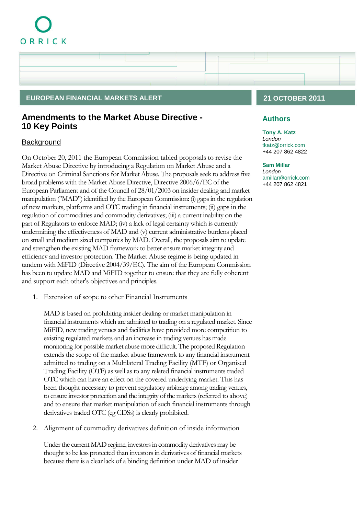# ORRICK

# **EUROPEAN FINANCIAL MARKETS ALERT 21 OCTOBER 2011**

# **Amendments to the Market Abuse Directive - 10 Key Points**

# **Background**

On October 20, 2011 the European Commission tabled proposals to revise the Market Abuse Directive by introducing a Regulation on Market Abuse and a Directive on Criminal Sanctions for Market Abuse. The proposals seek to address five broad problems with the Market Abuse Directive, Directive 2006/6/EC of the European Parliament and of the Council of 28/01/2003 on insider dealing and market manipulation ("MAD") identified by the European Commission: (i) gaps in the regulation of new markets, platforms and OTC trading in financial instruments; (ii) gaps in the regulation of commodities and commodity derivatives; (iii) a current inability on the part of Regulators to enforce MAD; (iv) a lack of legal certainty which is currently undermining the effectiveness of MAD and (v) current administrative burdens placed on small and medium sized companies by MAD. Overall, the proposals aim to update and strengthen the existing MAD framework to better ensure market integrity and efficiency and investor protection. The Market Abuse regime is being updated in tandem with MiFID (Directive 2004/39/EC). The aim of the European Commission has been to update MAD and MiFID together to ensure that they are fully coherent and support each other's objectives and principles.

1. Extension of scope to other Financial Instruments

MAD is based on prohibiting insider dealing or market manipulation in financial instruments which are admitted to trading on a regulated market. Since MiFID, new trading venues and facilities have provided more competition to existing regulated markets and an increase in trading venues has made monitoring for possible market abuse more difficult. The proposed Regulation extends the scope of the market abuse framework to any financial instrument admitted to trading on a Multilateral Trading Facility (MTF) or Organised Trading Facility (OTF) as well as to any related financial instruments traded OTC which can have an effect on the covered underlying market. This has been thought necessary to prevent regulatory arbitrage among trading venues, to ensure investor protection and the integrity of the markets (referred to above) and to ensure that market manipulation of such financial instruments through derivatives traded OTC (eg CDSs) is clearly prohibited.

2. Alignment of commodity derivatives definition of inside information

Under the current MAD regime, investors in commodity derivatives may be thought to be less protected than investors in derivatives of financial markets because there is a clear lack of a binding definition under MAD of insider

## **Authors**

**[Tony A. Katz](http://www.orrick.com/lawyers/Bio.asp?ID=267600)** *London* [tkatz@orrick.com](mailto:tkatz@orrick.com) +44 207 862 4822

#### **[Sam Millar](http://www.orrick.com/lawyers/Bio.asp?ID=267581)**

*London* [amillar@orrick.com](mailto:amillar@orrick.com) +44 207 862 4821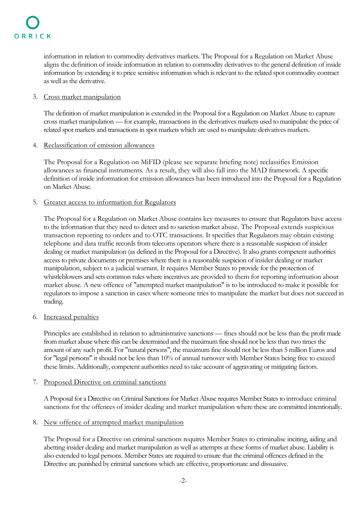information in relation to commodity derivatives markets. The Proposal for a Regulation on Market Abuse aligns the definition of inside information in relation to commodity derivatives to the general definition of inside information by extending it to price sensitive information which is relevant to the related spot commodity contract as well as the derivative.

#### 3. Cross market manipulation

The definition of market manipulation is extended in the Proposal for a Regulation on Market Abuse to capture cross market manipulation — for example, transactions in the derivatives markets used to manipulate the price of related spot markets and transactions in spot markets which are used to manipulate derivatives markets.

#### 4. Reclassification of emission allowances

The Proposal for a Regulation on MiFID (please see separate briefing note) reclassifies Emission allowances as financial instruments. As a result, they will also fall into the MAD framework. A specific definition of inside information for emission allowances has been introduced into the Proposal for a Regulation on Market Abuse.

#### 5. Greater access to information for Regulators

The Proposal for a Regulation on Market Abuse contains key measures to ensure that Regulators have access to the information that they need to detect and to sanction market abuse. The Proposal extends suspicious transaction reporting to orders and to OTC transactions. It specifies that Regulators may obtain existing telephone and data traffic records from telecoms operators where there is a reasonable suspicion of insider dealing or market manipulation (as defined in the Proposal for a Directive). It also grants competent authorities access to private documents or premises where there is a reasonable suspicion of insider dealing or market manipulation, subject to a judicial warrant. It requires Member States to provide for the protection of whistleblowers and sets common rules where incentives are provided to them for reporting information about market abuse. A new offence of "attempted market manipulation" is to be introduced to make it possible for regulators to impose a sanction in cases where someone tries to manipulate the market but does not succeed in trading.

## 6. Increased penalties

Principles are established in relation to administrative sanctions — fines should not be less than the profit made from market abuse where this can be determined and the maximum fine should not be less than two times the amount of any such profit. For "natural persons", the maximum fine should not be less than 5 million Euros and for "legal persons" it should not be less than 10% of annual turnover with Member States being free to exceed these limits. Additionally, competent authorities need to take account of aggravating or mitigating factors.

## 7. Proposed Directive on criminal sanctions

A Proposal for a Directive on Criminal Sanctions for Market Abuse requires Member States to introduce criminal sanctions for the offences of insider dealing and market manipulation where these are committed intentionally.

#### 8. New offence of attempted market manipulation

The Proposal for a Directive on criminal sanctions requires Member States to criminalise inciting, aiding and abetting insider dealing and market manipulation as well as attempts at these forms of market abuse. Liability is also extended to legal persons. Member States are required to ensure that the criminal offences defined in the Directive are punished by criminal sanctions which are effective, proportionate and dissuasive.